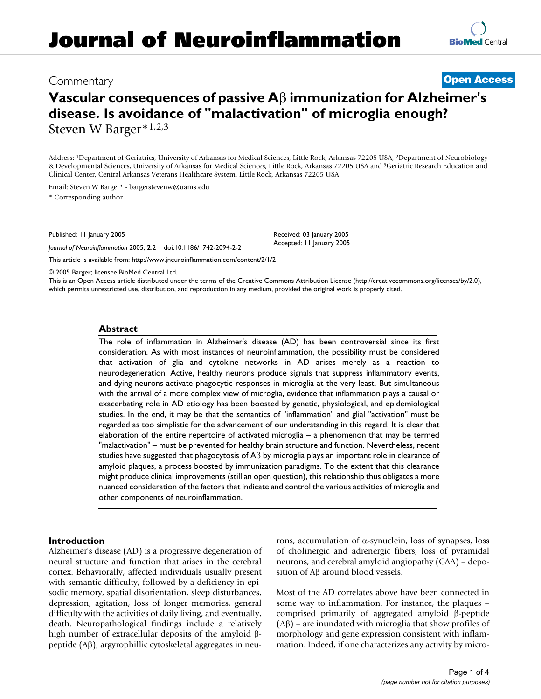# Commentary **[Open Access](http://www.biomedcentral.com/info/about/charter/)**

# **Vascular consequences of passive A**β **immunization for Alzheimer's disease. Is avoidance of "malactivation" of microglia enough?** Steven W Barger\*1,2,3

Address: 1Department of Geriatrics, University of Arkansas for Medical Sciences, Little Rock, Arkansas 72205 USA, 2Department of Neurobiology & Developmental Sciences, University of Arkansas for Medical Sciences, Little Rock, Arkansas 72205 USA and 3Geriatric Research Education and Clinical Center, Central Arkansas Veterans Healthcare System, Little Rock, Arkansas 72205 USA

> Received: 03 January 2005 Accepted: 11 January 2005

Email: Steven W Barger\* - bargerstevenw@uams.edu

\* Corresponding author

Published: 11 January 2005

*Journal of Neuroinflammation* 2005, **2**:2 doi:10.1186/1742-2094-2-2

[This article is available from: http://www.jneuroinflammation.com/content/2/1/2](http://www.jneuroinflammation.com/content/2/1/2)

© 2005 Barger; licensee BioMed Central Ltd.

This is an Open Access article distributed under the terms of the Creative Commons Attribution License [\(http://creativecommons.org/licenses/by/2.0\)](http://creativecommons.org/licenses/by/2.0), which permits unrestricted use, distribution, and reproduction in any medium, provided the original work is properly cited.

#### **Abstract**

The role of inflammation in Alzheimer's disease (AD) has been controversial since its first consideration. As with most instances of neuroinflammation, the possibility must be considered that activation of glia and cytokine networks in AD arises merely as a reaction to neurodegeneration. Active, healthy neurons produce signals that suppress inflammatory events, and dying neurons activate phagocytic responses in microglia at the very least. But simultaneous with the arrival of a more complex view of microglia, evidence that inflammation plays a causal or exacerbating role in AD etiology has been boosted by genetic, physiological, and epidemiological studies. In the end, it may be that the semantics of "inflammation" and glial "activation" must be regarded as too simplistic for the advancement of our understanding in this regard. It is clear that elaboration of the entire repertoire of activated microglia – a phenomenon that may be termed "malactivation" – must be prevented for healthy brain structure and function. Nevertheless, recent studies have suggested that phagocytosis of Aβ by microglia plays an important role in clearance of amyloid plaques, a process boosted by immunization paradigms. To the extent that this clearance might produce clinical improvements (still an open question), this relationship thus obligates a more nuanced consideration of the factors that indicate and control the various activities of microglia and other components of neuroinflammation.

## **Introduction**

Alzheimer's disease (AD) is a progressive degeneration of neural structure and function that arises in the cerebral cortex. Behaviorally, affected individuals usually present with semantic difficulty, followed by a deficiency in episodic memory, spatial disorientation, sleep disturbances, depression, agitation, loss of longer memories, general difficulty with the activities of daily living, and eventually, death. Neuropathological findings include a relatively high number of extracellular deposits of the amyloid βpeptide (Aβ), argyrophillic cytoskeletal aggregates in neurons, accumulation of α-synuclein, loss of synapses, loss of cholinergic and adrenergic fibers, loss of pyramidal neurons, and cerebral amyloid angiopathy (CAA) – deposition of Aβ around blood vessels.

Most of the AD correlates above have been connected in some way to inflammation. For instance, the plaques – comprised primarily of aggregated amyloid β-peptide (Aβ) – are inundated with microglia that show profiles of morphology and gene expression consistent with inflammation. Indeed, if one characterizes any activity by micro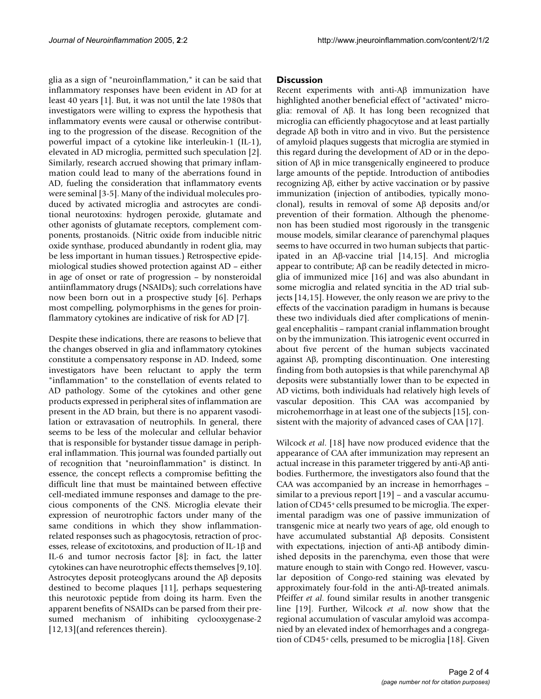glia as a sign of "neuroinflammation," it can be said that inflammatory responses have been evident in AD for at least 40 years [1]. But, it was not until the late 1980s that investigators were willing to express the hypothesis that inflammatory events were causal or otherwise contributing to the progression of the disease. Recognition of the powerful impact of a cytokine like interleukin-1 (IL-1), elevated in AD microglia, permitted such speculation [2]. Similarly, research accrued showing that primary inflammation could lead to many of the aberrations found in AD, fueling the consideration that inflammatory events were seminal [3-5]. Many of the individual molecules produced by activated microglia and astrocytes are conditional neurotoxins: hydrogen peroxide, glutamate and other agonists of glutamate receptors, complement components, prostanoids. (Nitric oxide from inducible nitric oxide synthase, produced abundantly in rodent glia, may be less important in human tissues.) Retrospective epidemiological studies showed protection against AD – either in age of onset or rate of progression – by nonsteroidal antiinflammatory drugs (NSAIDs); such correlations have now been born out in a prospective study [6]. Perhaps most compelling, polymorphisms in the genes for proinflammatory cytokines are indicative of risk for AD [7].

Despite these indications, there are reasons to believe that the changes observed in glia and inflammatory cytokines constitute a compensatory response in AD. Indeed, some investigators have been reluctant to apply the term "inflammation" to the constellation of events related to AD pathology. Some of the cytokines and other gene products expressed in peripheral sites of inflammation are present in the AD brain, but there is no apparent vasodilation or extravasation of neutrophils. In general, there seems to be less of the molecular and cellular behavior that is responsible for bystander tissue damage in peripheral inflammation. This journal was founded partially out of recognition that "neuroinflammation" is distinct. In essence, the concept reflects a compromise befitting the difficult line that must be maintained between effective cell-mediated immune responses and damage to the precious components of the CNS. Microglia elevate their expression of neurotrophic factors under many of the same conditions in which they show inflammationrelated responses such as phagocytosis, retraction of processes, release of excitotoxins, and production of IL-1β and IL-6 and tumor necrosis factor [8]; in fact, the latter cytokines can have neurotrophic effects themselves [9,10]. Astrocytes deposit proteoglycans around the Aβ deposits destined to become plaques [11], perhaps sequestering this neurotoxic peptide from doing its harm. Even the apparent benefits of NSAIDs can be parsed from their presumed mechanism of inhibiting cyclooxygenase-2 [12,13](and references therein).

# **Discussion**

Recent experiments with anti-Aβ immunization have highlighted another beneficial effect of "activated" microglia: removal of Aβ. It has long been recognized that microglia can efficiently phagocytose and at least partially degrade Aβ both in vitro and in vivo. But the persistence of amyloid plaques suggests that microglia are stymied in this regard during the development of AD or in the deposition of Aβ in mice transgenically engineered to produce large amounts of the peptide. Introduction of antibodies recognizing Aβ, either by active vaccination or by passive immunization (injection of antibodies, typically monoclonal), results in removal of some Aβ deposits and/or prevention of their formation. Although the phenomenon has been studied most rigorously in the transgenic mouse models, similar clearance of parenchymal plaques seems to have occurred in two human subjects that participated in an Aβ-vaccine trial [14,15]. And microglia appear to contribute; Aβ can be readily detected in microglia of immunized mice [16] and was also abundant in some microglia and related syncitia in the AD trial subjects [14,15]. However, the only reason we are privy to the effects of the vaccination paradigm in humans is because these two individuals died after complications of meningeal encephalitis – rampant cranial inflammation brought on by the immunization. This iatrogenic event occurred in about five percent of the human subjects vaccinated against Aβ, prompting discontinuation. One interesting finding from both autopsies is that while parenchymal Aβ deposits were substantially lower than to be expected in AD victims, both individuals had relatively high levels of vascular deposition. This CAA was accompanied by microhemorrhage in at least one of the subjects [15], consistent with the majority of advanced cases of CAA [17].

Wilcock *et al*. [18] have now produced evidence that the appearance of CAA after immunization may represent an actual increase in this parameter triggered by anti-Aβ antibodies. Furthermore, the investigators also found that the CAA was accompanied by an increase in hemorrhages – similar to a previous report [19] – and a vascular accumulation of CD45+ cells presumed to be microglia. The experimental paradigm was one of passive immunization of transgenic mice at nearly two years of age, old enough to have accumulated substantial Aβ deposits. Consistent with expectations, injection of anti-Aβ antibody diminished deposits in the parenchyma, even those that were mature enough to stain with Congo red. However, vascular deposition of Congo-red staining was elevated by approximately four-fold in the anti-Aβ-treated animals. Pfeiffer *et al*. found similar results in another transgenic line [19]. Further, Wilcock *et al*. now show that the regional accumulation of vascular amyloid was accompanied by an elevated index of hemorrhages and a congregation of CD45+ cells, presumed to be microglia [18]. Given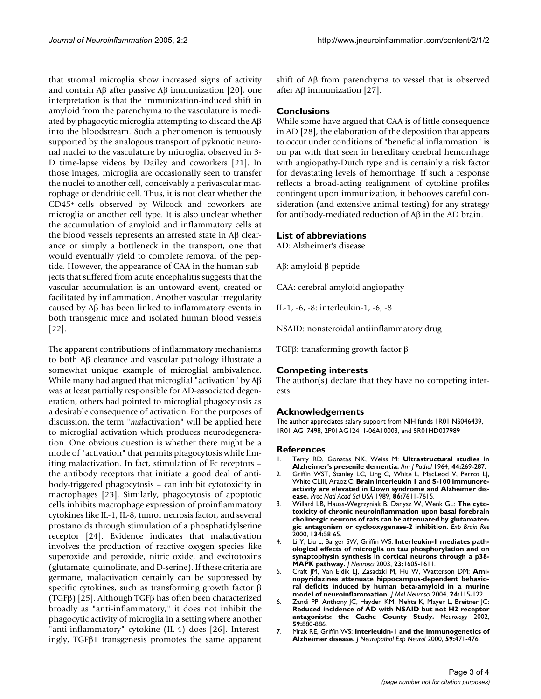that stromal microglia show increased signs of activity and contain Aβ after passive Aβ immunization [20], one interpretation is that the immunization-induced shift in amyloid from the parenchyma to the vasculature is mediated by phagocytic microglia attempting to discard the Aβ into the bloodstream. Such a phenomenon is tenuously supported by the analogous transport of pyknotic neuronal nuclei to the vasculature by microglia, observed in 3- D time-lapse videos by Dailey and coworkers [21]. In those images, microglia are occasionally seen to transfer the nuclei to another cell, conceivably a perivascular macrophage or dendritic cell. Thus, it is not clear whether the CD45+ cells observed by Wilcock and coworkers are microglia or another cell type. It is also unclear whether the accumulation of amyloid and inflammatory cells at the blood vessels represents an arrested state in Aβ clearance or simply a bottleneck in the transport, one that would eventually yield to complete removal of the peptide. However, the appearance of CAA in the human subjects that suffered from acute encephalitis suggests that the vascular accumulation is an untoward event, created or facilitated by inflammation. Another vascular irregularity caused by Aβ has been linked to inflammatory events in both transgenic mice and isolated human blood vessels [22].

The apparent contributions of inflammatory mechanisms to both Aβ clearance and vascular pathology illustrate a somewhat unique example of microglial ambivalence. While many had argued that microglial "activation" by Aβ was at least partially responsible for AD-associated degeneration, others had pointed to microglial phagocytosis as a desirable consequence of activation. For the purposes of discussion, the term "*mal*activation" will be applied here to microglial activation which produces neurodegeneration. One obvious question is whether there might be a mode of "activation" that permits phagocytosis while limiting malactivation. In fact, stimulation of Fc receptors – the antibody receptors that initiate a good deal of antibody-triggered phagocytosis – can inhibit cytotoxicity in macrophages [23]. Similarly, phagocytosis of apoptotic cells inhibits macrophage expression of proinflammatory cytokines like IL-1, IL-8, tumor necrosis factor, and several prostanoids through stimulation of a phosphatidylserine receptor [24]. Evidence indicates that malactivation involves the production of reactive oxygen species like superoxide and peroxide, nitric oxide, and excitotoxins (glutamate, quinolinate, and D-serine). If these criteria are germane, malactivation certainly can be suppressed by specific cytokines, such as transforming growth factor β (TGFβ) [25]. Although TGFβ has often been characterized broadly as "anti-inflammatory," it does not inhibit the phagocytic activity of microglia in a setting where another "anti-inflammatory" cytokine (IL-4) does [26]. Interestingly, TGFβ1 transgenesis promotes the same apparent shift of Aβ from parenchyma to vessel that is observed after Aβ immunization [27].

# **Conclusions**

While some have argued that CAA is of little consequence in AD [28], the elaboration of the deposition that appears to occur under conditions of "beneficial inflammation" is on par with that seen in hereditary cerebral hemorrhage with angiopathy-Dutch type and is certainly a risk factor for devastating levels of hemorrhage. If such a response reflects a broad-acting realignment of cytokine profiles contingent upon immunization, it behooves careful consideration (and extensive animal testing) for any strategy for antibody-mediated reduction of Aβ in the AD brain.

# **List of abbreviations**

AD: Alzheimer's disease

Aβ: amyloid β-peptide

CAA: cerebral amyloid angiopathy

IL-1, -6, -8: interleukin-1, -6, -8

NSAID: nonsteroidal antiinflammatory drug

TGFβ: transforming growth factor β

## **Competing interests**

The author(s) declare that they have no competing interests.

## **Acknowledgements**

The author appreciates salary support from NIH funds 1R01 NS046439, 1R01 AG17498, 2P01AG12411-06A10003, and 5R01HD037989

## **References**

- 1. Terry RD, Gonatas NK, Weiss M: **[Ultrastructural studies in](http://www.ncbi.nlm.nih.gov/entrez/query.fcgi?cmd=Retrieve&db=PubMed&dopt=Abstract&list_uids=14119171) [Alzheimer's presenile dementia.](http://www.ncbi.nlm.nih.gov/entrez/query.fcgi?cmd=Retrieve&db=PubMed&dopt=Abstract&list_uids=14119171)** *Am J Pathol* 1964, **44:**269-287.
- 2. Griffin WST, Stanley LC, Ling C, White L, MacLeod V, Perrot LJ, White CLIII, Araoz C: **[Brain interleukin 1 and S-100 immunore](http://www.ncbi.nlm.nih.gov/entrez/query.fcgi?cmd=Retrieve&db=PubMed&dopt=Abstract&list_uids=2529544)[activity are elevated in Down syndrome and Alzheimer dis](http://www.ncbi.nlm.nih.gov/entrez/query.fcgi?cmd=Retrieve&db=PubMed&dopt=Abstract&list_uids=2529544)[ease.](http://www.ncbi.nlm.nih.gov/entrez/query.fcgi?cmd=Retrieve&db=PubMed&dopt=Abstract&list_uids=2529544)** *Proc Natl Acad Sci USA* 1989, **86:**7611-7615.
- 3. Willard LB, Hauss-Wegrzyniak B, Danysz W, Wenk GL: **[The cyto](http://www.ncbi.nlm.nih.gov/entrez/query.fcgi?cmd=Retrieve&db=PubMed&dopt=Abstract&list_uids=11026726)toxicity of chronic neuroinflammation upon basal forebrain [cholinergic neurons of rats can be attenuated by glutamater](http://www.ncbi.nlm.nih.gov/entrez/query.fcgi?cmd=Retrieve&db=PubMed&dopt=Abstract&list_uids=11026726)[gic antagonism or cyclooxygenase-2 inhibition.](http://www.ncbi.nlm.nih.gov/entrez/query.fcgi?cmd=Retrieve&db=PubMed&dopt=Abstract&list_uids=11026726)** *Exp Brain Res* 2000, **134:**58-65.
- 4. Li Y, Liu L, Barger SW, Griffin WS: **[Interleukin-1 mediates path](http://www.ncbi.nlm.nih.gov/entrez/query.fcgi?cmd=Retrieve&db=PubMed&dopt=Abstract&list_uids=12629164)ological effects of microglia on tau phosphorylation and on [synaptophysin synthesis in cortical neurons through a p38-](http://www.ncbi.nlm.nih.gov/entrez/query.fcgi?cmd=Retrieve&db=PubMed&dopt=Abstract&list_uids=12629164) [MAPK pathway.](http://www.ncbi.nlm.nih.gov/entrez/query.fcgi?cmd=Retrieve&db=PubMed&dopt=Abstract&list_uids=12629164)** *J Neurosci* 2003, **23:**1605-1611.
- 5. Craft JM, Van Eldik LJ, Zasadzki M, Hu W, Watterson DM: **[Ami](http://www.ncbi.nlm.nih.gov/entrez/query.fcgi?cmd=Retrieve&db=PubMed&dopt=Abstract&list_uids=15314259)nopyridazines attenuate hippocampus-dependent behavio[ral deficits induced by human beta-amyloid in a murine](http://www.ncbi.nlm.nih.gov/entrez/query.fcgi?cmd=Retrieve&db=PubMed&dopt=Abstract&list_uids=15314259) [model of neuroinflammation.](http://www.ncbi.nlm.nih.gov/entrez/query.fcgi?cmd=Retrieve&db=PubMed&dopt=Abstract&list_uids=15314259)** *J Mol Neurosci* 2004, **24:**115-122.
- 6. Zandi PP, Anthony JC, Hayden KM, Mehta K, Mayer L, Breitner JC: **[Reduced incidence of AD with NSAID but not H2 receptor](http://www.ncbi.nlm.nih.gov/entrez/query.fcgi?cmd=Retrieve&db=PubMed&dopt=Abstract&list_uids=12297571) [antagonists: the Cache County Study.](http://www.ncbi.nlm.nih.gov/entrez/query.fcgi?cmd=Retrieve&db=PubMed&dopt=Abstract&list_uids=12297571)** *Neurology* 2002, **59:**880-886.
- 7. Mrak RE, Griffin WS: **[Interleukin-1 and the immunogenetics of](http://www.ncbi.nlm.nih.gov/entrez/query.fcgi?cmd=Retrieve&db=PubMed&dopt=Abstract&list_uids=10850859) [Alzheimer disease.](http://www.ncbi.nlm.nih.gov/entrez/query.fcgi?cmd=Retrieve&db=PubMed&dopt=Abstract&list_uids=10850859)** *J Neuropathol Exp Neurol* 2000, **59:**471-476.